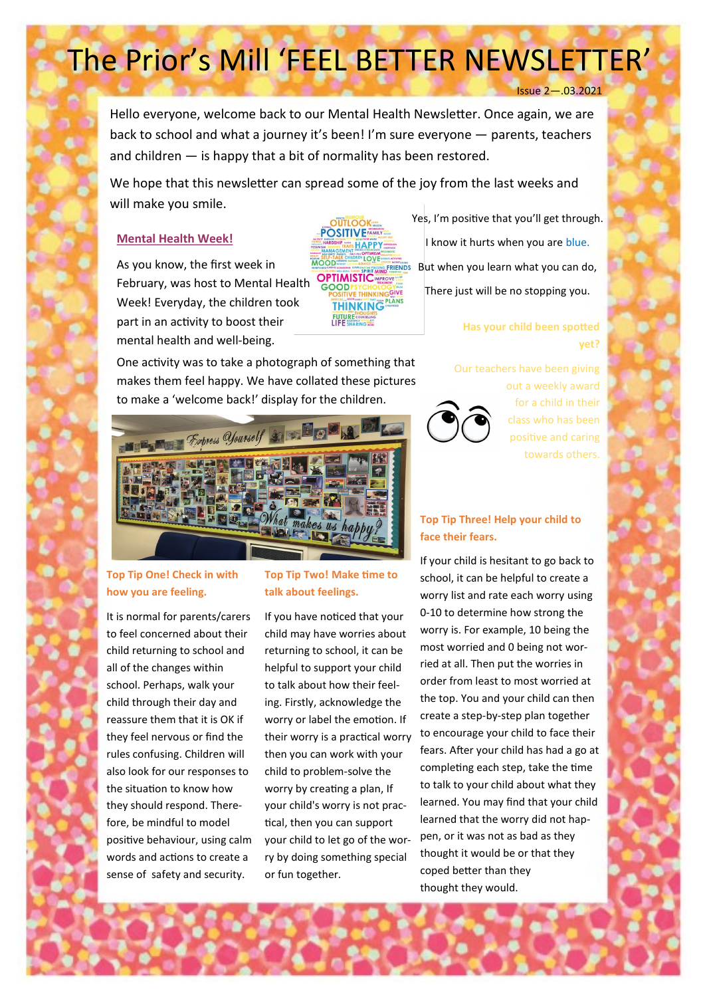# The Prior's Mill 'FEEL BETTER NEWSLETTER'

Issue 2—.03.2021

Hello everyone, welcome back to our Mental Health Newsletter. Once again, we are back to school and what a journey it's been! I'm sure everyone — parents, teachers and children — is happy that a bit of normality has been restored.

We hope that this newsletter can spread some of the joy from the last weeks and will make you smile.

## **Mental Health Week!**

As you know, the first week in February, was host to Mental Health Week! Everyday, the children took part in an activity to boost their mental health and well-being.



Yes, I'm positive that you'll get through. I know it hurts when you are blue.  $B<sub>smé-FRIENDS</sub>$  But when you learn what you can do, There just will be no stopping you.

## **Has your child been spotted yet?**

One activity was to take a photograph of something that makes them feel happy. We have collated these pictures to make a 'welcome back!' display for the children.

**Branch Express Yourself** 

## **Top Tip One! Check in with how you are feeling.**

It is normal for parents/carers to feel concerned about their child returning to school and all of the changes within school. Perhaps, walk your child through their day and reassure them that it is OK if they feel nervous or find the rules confusing. Children will also look for our responses to the situation to know how they should respond. Therefore, be mindful to model positive behaviour, using calm words and actions to create a sense of safety and security.

## **Top Tip Two! Make time to talk about feelings.**

If you have noticed that your child may have worries about returning to school, it can be helpful to support your child to talk about how their feeling. Firstly, acknowledge the worry or label the emotion. If their worry is a practical worry then you can work with your child to problem-solve the worry by creating a plan, If your child's worry is not practical, then you can support your child to let go of the worry by doing something special or fun together.

#### Our teachers have been giving



out a weekly award for a child in their class who has been positive and caring towards others.

# **Top Tip Three! Help your child to face their fears.**

If your child is hesitant to go back to school, it can be helpful to create a worry list and rate each worry using 0-10 to determine how strong the worry is. For example, 10 being the most worried and 0 being not worried at all. Then put the worries in order from least to most worried at the top. You and your child can then create a step-by-step plan together to encourage your child to face their fears. After your child has had a go at completing each step, take the time to talk to your child about what they learned. You may find that your child learned that the worry did not happen, or it was not as bad as they thought it would be or that they coped better than they thought they would.